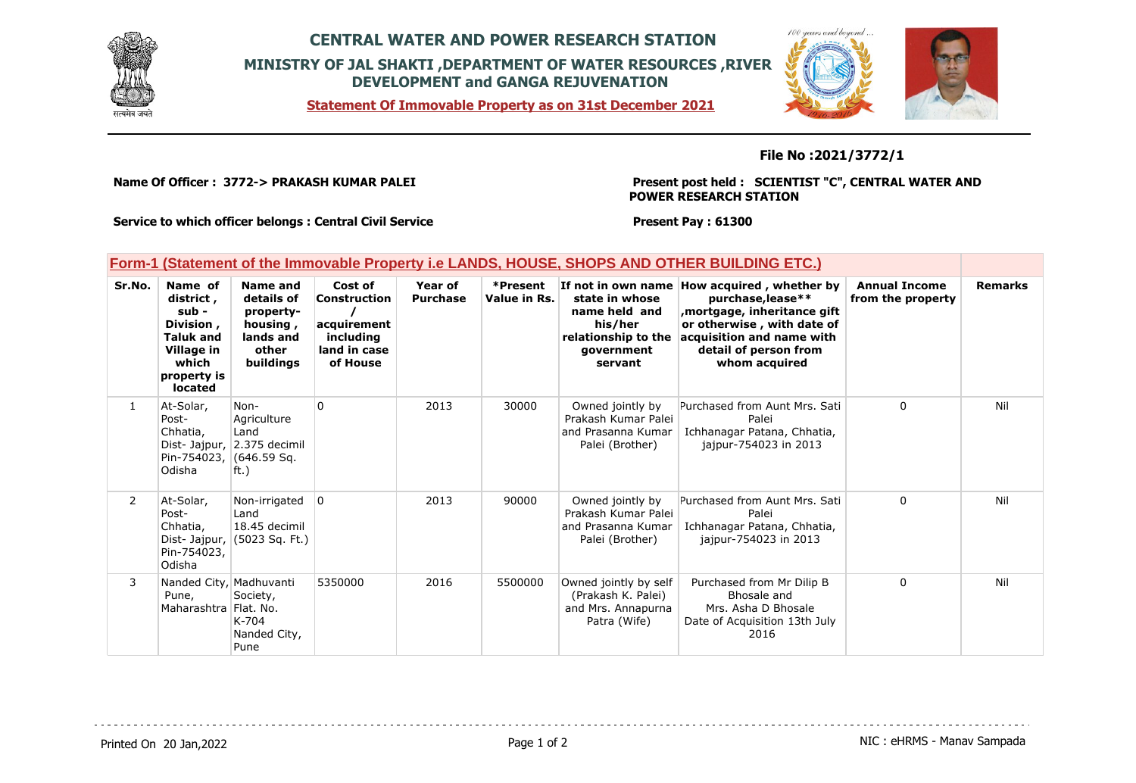

## **CENTRAL WATER AND POWER RESEARCH STATION MINISTRY OF JAL SHAKTI ,DEPARTMENT OF WATER RESOURCES ,RIVER DEVELOPMENT and GANGA REJUVENATION**



**Statement Of Immovable Property as on 31st December 2021**

## **File No :2021/3772/1**

**Name Of Officer : 3772-> PRAKASH KUMAR PALEI** 

**Present post held : SCIENTIST "C", CENTRAL WATER AND POWER RESEARCH STATION**

 $100$  young and

**Service to which officer belongs : Central Civil Service**

**Present Pay : 61300**

| Form-1 (Statement of the Immovable Property i.e LANDS, HOUSE, SHOPS AND OTHER BUILDING ETC.) |  |  |
|----------------------------------------------------------------------------------------------|--|--|
|                                                                                              |  |  |

| Sr.No.         | Name of<br>district,<br>sub -<br>Division,<br><b>Taluk and</b><br>Village in<br>which<br>property is<br>located | Name and<br>details of<br>property-<br>housing,<br>lands and<br>other<br>buildings | Cost of<br><b>Construction</b><br>acquirement<br>including<br>land in case<br>of House | Year of<br><b>Purchase</b> | *Present<br>Value in Rs. | If not in own name<br>state in whose<br>name held and<br>his/her<br>relationship to the<br>government<br>servant | How acquired, whether by<br>purchase, lease**<br>mortgage, inheritance gift,<br>or otherwise, with date of<br>acquisition and name with<br>detail of person from<br>whom acquired | <b>Annual Income</b><br>from the property | <b>Remarks</b> |
|----------------|-----------------------------------------------------------------------------------------------------------------|------------------------------------------------------------------------------------|----------------------------------------------------------------------------------------|----------------------------|--------------------------|------------------------------------------------------------------------------------------------------------------|-----------------------------------------------------------------------------------------------------------------------------------------------------------------------------------|-------------------------------------------|----------------|
| $\mathbf{1}$   | At-Solar,<br>Post-<br>Chhatia,<br>Pin-754023, (646.59 Sq.<br>Odisha                                             | Non-<br>Agriculture<br>Land<br>Dist- Jajpur, 2.375 decimil<br>ft.)                 | 0                                                                                      | 2013                       | 30000                    | Owned jointly by<br>Prakash Kumar Palei<br>and Prasanna Kumar<br>Palei (Brother)                                 | Purchased from Aunt Mrs. Sati<br>Palei<br>Ichhanagar Patana, Chhatia,<br>jajpur-754023 in 2013                                                                                    | $\mathbf{0}$                              | Nil            |
| $\overline{2}$ | At-Solar,<br>Post-<br>Chhatia,<br>Dist-Jajpur,<br>Pin-754023,<br>Odisha                                         | Non-irrigated<br>Land<br>18.45 decimil<br>(5023 Sq. Ft.)                           | $\Omega$                                                                               | 2013                       | 90000                    | Owned jointly by<br>Prakash Kumar Palei<br>and Prasanna Kumar<br>Palei (Brother)                                 | Purchased from Aunt Mrs. Sati<br>Palei<br>Ichhanagar Patana, Chhatia,<br>iaipur-754023 in 2013                                                                                    | $\mathbf{0}$                              | Nil            |
| 3              | Nanded City, Madhuvanti<br>Pune,<br>Maharashtra Flat. No.                                                       | Society,<br>$K-704$<br>Nanded City,<br>Pune                                        | 5350000                                                                                | 2016                       | 5500000                  | Owned jointly by self<br>(Prakash K. Palei)<br>and Mrs. Annapurna<br>Patra (Wife)                                | Purchased from Mr Dilip B<br>Bhosale and<br>Mrs. Asha D Bhosale<br>Date of Acquisition 13th July<br>2016                                                                          | $\Omega$                                  | Nil            |

Printed On 20 Jan, 2022 **Page 1 of 2** Page 1 of 2 **Page 1 of 2** NIC : eHRMS - Manav Sampada